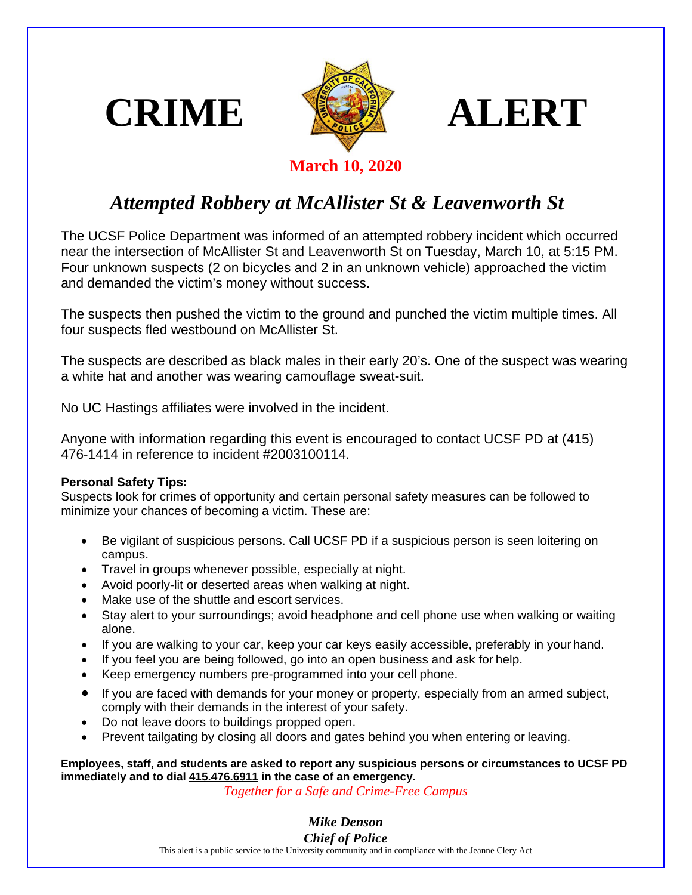





**March 10, 2020**

## *Attempted Robbery at McAllister St & Leavenworth St*

The UCSF Police Department was informed of an attempted robbery incident which occurred near the intersection of McAllister St and Leavenworth St on Tuesday, March 10, at 5:15 PM. Four unknown suspects (2 on bicycles and 2 in an unknown vehicle) approached the victim and demanded the victim's money without success.

The suspects then pushed the victim to the ground and punched the victim multiple times. All four suspects fled westbound on McAllister St.

The suspects are described as black males in their early 20's. One of the suspect was wearing a white hat and another was wearing camouflage sweat-suit.

No UC Hastings affiliates were involved in the incident.

Anyone with information regarding this event is encouraged to contact UCSF PD at (415) 476-1414 in reference to incident #2003100114.

## **Personal Safety Tips:**

Suspects look for crimes of opportunity and certain personal safety measures can be followed to minimize your chances of becoming a victim. These are:

- Be vigilant of suspicious persons. Call UCSF PD if a suspicious person is seen loitering on campus.
- Travel in groups whenever possible, especially at night.
- Avoid poorly-lit or deserted areas when walking at night.
- Make use of the shuttle and escort services.
- Stay alert to your surroundings; avoid headphone and cell phone use when walking or waiting alone.
- If you are walking to your car, keep your car keys easily accessible, preferably in your hand.
- If you feel you are being followed, go into an open business and ask for help.
- Keep emergency numbers pre-programmed into your cell phone.
- If you are faced with demands for your money or property, especially from an armed subject, comply with their demands in the interest of your safety.
- Do not leave doors to buildings propped open.
- Prevent tailgating by closing all doors and gates behind you when entering or leaving.

**Employees, staff, and students are asked to report any suspicious persons or circumstances to UCSF PD immediately and to dial 415.476.6911 in the case of an emergency.**

*Together for a Safe and Crime-Free Campus*

*Mike Denson Chief of Police*

This alert is a public service to the University community and in compliance with the Jeanne Clery Act